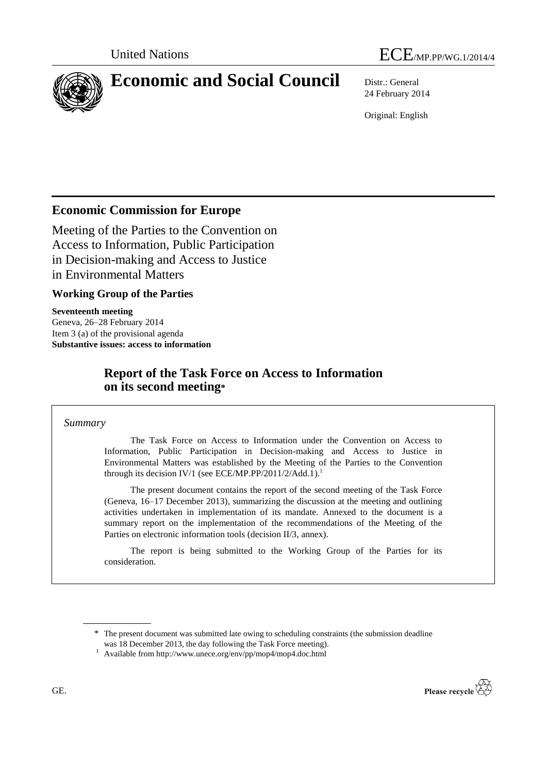



# **Economic and Social Council** Distr.: General

24 February 2014

Original: English

# **Economic Commission for Europe**

Meeting of the Parties to the Convention on Access to Information, Public Participation in Decision-making and Access to Justice in Environmental Matters

## **Working Group of the Parties**

**Seventeenth meeting** Geneva, 26–28 February 2014 Item 3 (a) of the provisional agenda **Substantive issues: access to information**

# **Report of the Task Force on Access to Information on its second meeting\***

*Summary*

The Task Force on Access to Information under the Convention on Access to Information, Public Participation in Decision-making and Access to Justice in Environmental Matters was established by the Meeting of the Parties to the Convention through its decision IV/1 (see ECE/MP.PP/2011/2/Add.1).<sup>1</sup>

The present document contains the report of the second meeting of the Task Force (Geneva, 16–17 December 2013), summarizing the discussion at the meeting and outlining activities undertaken in implementation of its mandate. Annexed to the document is a summary report on the implementation of the recommendations of the Meeting of the Parties on electronic information tools (decision II/3, annex).

The report is being submitted to the Working Group of the Parties for its consideration.



<sup>\*</sup> The present document was submitted late owing to scheduling constraints (the submission deadline

was 18 December 2013, the day following the Task Force meeting).

<sup>1</sup> Available from http://www.unece.org/env/pp/mop4/mop4.doc.html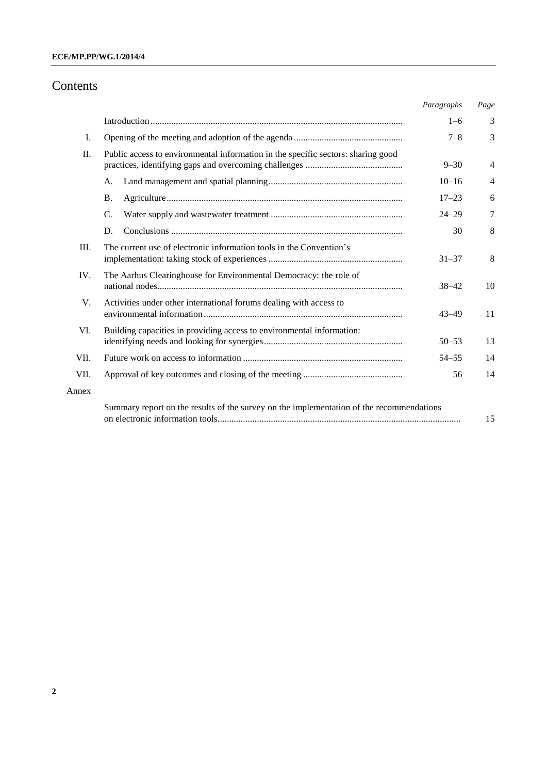# Contents

|       |                                                                                          | Paragraphs | Page           |
|-------|------------------------------------------------------------------------------------------|------------|----------------|
|       |                                                                                          | $1 - 6$    | 3              |
| Ι.    |                                                                                          | $7 - 8$    | 3              |
| Π.    | Public access to environmental information in the specific sectors: sharing good         | $9 - 30$   | $\overline{4}$ |
|       | A.                                                                                       | $10 - 16$  | $\overline{4}$ |
|       | <b>B.</b>                                                                                | $17 - 23$  | 6              |
|       | C.                                                                                       | $24 - 29$  | 7              |
|       | D.                                                                                       | 30         | 8              |
| III.  | The current use of electronic information tools in the Convention's                      | $31 - 37$  | 8              |
| IV.   | The Aarhus Clearinghouse for Environmental Democracy: the role of                        | $38 - 42$  | 10             |
| V.    | Activities under other international forums dealing with access to                       | $43 - 49$  | 11             |
| VI.   | Building capacities in providing access to environmental information:                    | $50 - 53$  | 13             |
| VII.  |                                                                                          | $54 - 55$  | 14             |
| VII.  |                                                                                          | 56         | 14             |
| Annex |                                                                                          |            |                |
|       | Summary report on the results of the survey on the implementation of the recommendations |            | 15             |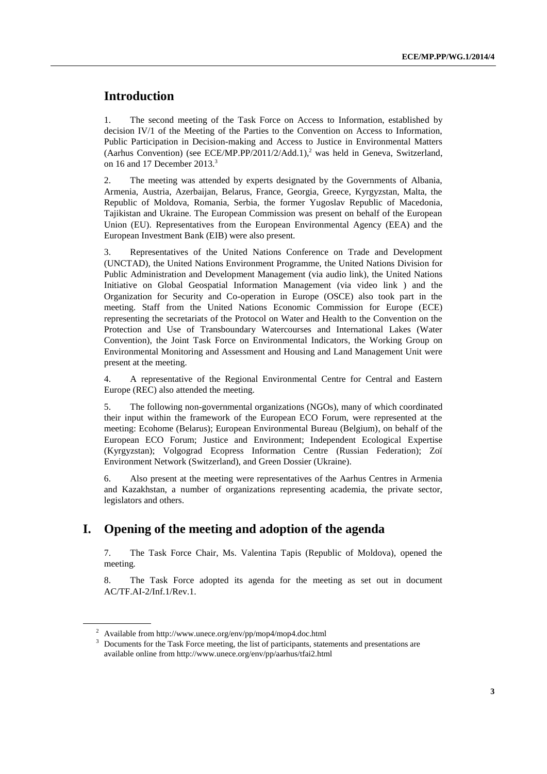# **Introduction**

1. The second meeting of the Task Force on Access to Information, established by decision IV/1 of the Meeting of the Parties to the Convention on Access to Information, Public Participation in Decision-making and Access to Justice in Environmental Matters (Aarhus Convention) (see ECE/MP.PP/2011/2/Add.1),<sup>2</sup> was held in Geneva, Switzerland, on 16 and 17 December 2013.<sup>3</sup>

2. The meeting was attended by experts designated by the Governments of Albania, Armenia, Austria, Azerbaijan, Belarus, France, Georgia, Greece, Kyrgyzstan, Malta, the Republic of Moldova, Romania, Serbia, the former Yugoslav Republic of Macedonia, Tajikistan and Ukraine. The European Commission was present on behalf of the European Union (EU). Representatives from the European Environmental Agency (EEA) and the European Investment Bank (EIB) were also present.

3. Representatives of the United Nations Conference on Trade and Development (UNCTAD), the United Nations Environment Programme, the United Nations Division for Public Administration and Development Management (via audio link), the United Nations Initiative on Global Geospatial Information Management (via video link ) and the Organization for Security and Co-operation in Europe (OSCE) also took part in the meeting. Staff from the United Nations Economic Commission for Europe (ECE) representing the secretariats of the Protocol on Water and Health to the Convention on the Protection and Use of Transboundary Watercourses and International Lakes (Water Convention), the Joint Task Force on Environmental Indicators, the Working Group on Environmental Monitoring and Assessment and Housing and Land Management Unit were present at the meeting.

4. A representative of the Regional Environmental Centre for Central and Eastern Europe (REC) also attended the meeting.

5. The following non-governmental organizations (NGOs), many of which coordinated their input within the framework of the European ECO Forum, were represented at the meeting: Ecohome (Belarus); European Environmental Bureau (Belgium), on behalf of the European ECO Forum; Justice and Environment; Independent Ecological Expertise (Kyrgyzstan); Volgograd Ecopress Information Centre (Russian Federation); Zoï Environment Network (Switzerland), and Green Dossier (Ukraine).

6. Also present at the meeting were representatives of the Aarhus Centres in Armenia and Kazakhstan, a number of organizations representing academia, the private sector, legislators and others.

# **I. Opening of the meeting and adoption of the agenda**

7. The Task Force Chair, Ms. Valentina Tapis (Republic of Moldova), opened the meeting*.*

8. The Task Force adopted its agenda for the meeting as set out in document AC/TF.AI-2/Inf.1/Rev.1.

 $2$  Available from http://www.unece.org/env/pp/mop4/mop4.doc.html

<sup>3</sup> Documents for the Task Force meeting, the list of participants, statements and presentations are available online fro[m http://www.unece.org/env/pp/aarhus/tfai2.html](http://www.unece.org/env/pp/aarhus/tfai2.html)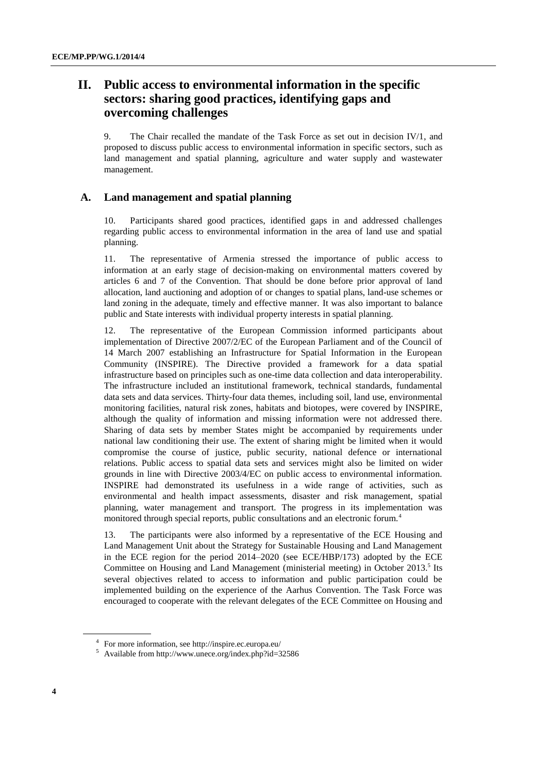# **II. Public access to environmental information in the specific sectors: sharing good practices, identifying gaps and overcoming challenges**

9. The Chair recalled the mandate of the Task Force as set out in decision IV/1, and proposed to discuss public access to environmental information in specific sectors, such as land management and spatial planning, agriculture and water supply and wastewater management.

#### **A. Land management and spatial planning**

10. Participants shared good practices, identified gaps in and addressed challenges regarding public access to environmental information in the area of land use and spatial planning.

11. The representative of Armenia stressed the importance of public access to information at an early stage of decision-making on environmental matters covered by articles 6 and 7 of the Convention. That should be done before prior approval of land allocation, land auctioning and adoption of or changes to spatial plans, land-use schemes or land zoning in the adequate, timely and effective manner. It was also important to balance public and State interests with individual property interests in spatial planning.

12. The representative of the European Commission informed participants about implementation of Directive 2007/2/EC of the European Parliament and of the Council of 14 March 2007 establishing an Infrastructure for Spatial Information in the European Community (INSPIRE). The Directive provided a framework for a data spatial infrastructure based on principles such as one-time data collection and data interoperability. The infrastructure included an institutional framework, technical standards, fundamental data sets and data services. Thirty-four data themes, including soil, land use, environmental monitoring facilities, natural risk zones, habitats and biotopes, were covered by INSPIRE, although the quality of information and missing information were not addressed there. Sharing of data sets by member States might be accompanied by requirements under national law conditioning their use. The extent of sharing might be limited when it would compromise the course of justice, public security, national defence or international relations. Public access to spatial data sets and services might also be limited on wider grounds in line with Directive 2003/4/EC on public access to environmental information. INSPIRE had demonstrated its usefulness in a wide range of activities, such as environmental and health impact assessments, disaster and risk management, spatial planning, water management and transport. The progress in its implementation was monitored through special reports, public consultations and an electronic forum.<sup>4</sup>

13. The participants were also informed by a representative of the ECE Housing and Land Management Unit about the Strategy for Sustainable Housing and Land Management in the ECE region for the period 2014–2020 (see ECE/HBP/173) adopted by the ECE Committee on Housing and Land Management (ministerial meeting) in October 2013.<sup>5</sup> Its several objectives related to access to information and public participation could be implemented building on the experience of the Aarhus Convention. The Task Force was encouraged to cooperate with the relevant delegates of the ECE Committee on Housing and

<sup>4</sup> For more information, se[e http://inspire.ec.europa.eu/](http://inspire.ec.europa.eu/)

<sup>5</sup> Available fro[m http://www.unece.org/index.php?id=32586](http://www.unece.org/index.php?id=32586)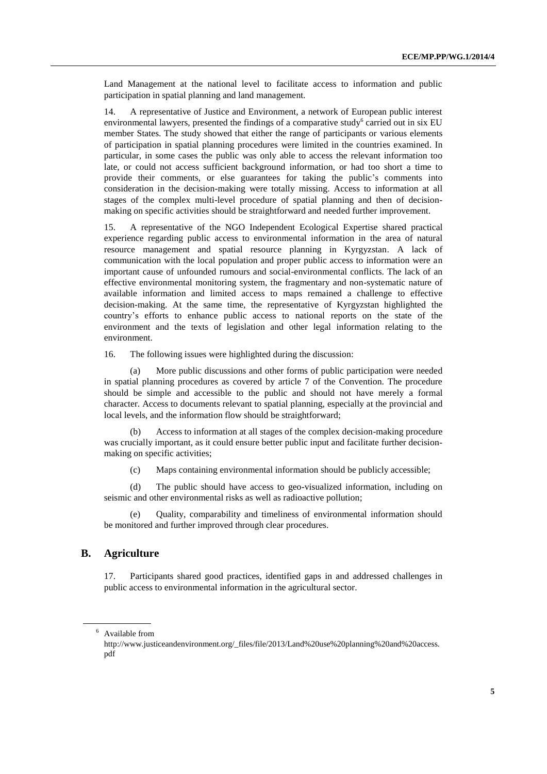Land Management at the national level to facilitate access to information and public participation in spatial planning and land management.

14. A representative of Justice and Environment, a network of European public interest environmental lawyers, presented the findings of a comparative study<sup>6</sup> carried out in six EU member States. The study showed that either the range of participants or various elements of participation in spatial planning procedures were limited in the countries examined. In particular, in some cases the public was only able to access the relevant information too late, or could not access sufficient background information, or had too short a time to provide their comments, or else guarantees for taking the public's comments into consideration in the decision-making were totally missing. Access to information at all stages of the complex multi-level procedure of spatial planning and then of decisionmaking on specific activities should be straightforward and needed further improvement.

15. A representative of the NGO Independent Ecological Expertise shared practical experience regarding public access to environmental information in the area of natural resource management and spatial resource planning in Kyrgyzstan. A lack of communication with the local population and proper public access to information were an important cause of unfounded rumours and social-environmental conflicts. The lack of an effective environmental monitoring system, the fragmentary and non-systematic nature of available information and limited access to maps remained a challenge to effective decision-making. At the same time, the representative of Kyrgyzstan highlighted the country's efforts to enhance public access to national reports on the state of the environment and the texts of legislation and other legal information relating to the environment.

16. The following issues were highlighted during the discussion:

(a) More public discussions and other forms of public participation were needed in spatial planning procedures as covered by article 7 of the Convention. The procedure should be simple and accessible to the public and should not have merely a formal character. Access to documents relevant to spatial planning, especially at the provincial and local levels, and the information flow should be straightforward;

Access to information at all stages of the complex decision-making procedure was crucially important, as it could ensure better public input and facilitate further decisionmaking on specific activities;

(c) Maps containing environmental information should be publicly accessible;

(d) The public should have access to geo-visualized information, including on seismic and other environmental risks as well as radioactive pollution;

Quality, comparability and timeliness of environmental information should be monitored and further improved through clear procedures.

#### **B. Agriculture**

17. Participants shared good practices, identified gaps in and addressed challenges in public access to environmental information in the agricultural sector.

<sup>6</sup> Available from

[http://www.justiceandenvironment.org/\\_files/file/2013/Land%20use%20planning%20and%20access.](http://www.justiceandenvironment.org/_files/file/2013/Land%20use%20planning%20and%20access.pdf) [pdf](http://www.justiceandenvironment.org/_files/file/2013/Land%20use%20planning%20and%20access.pdf)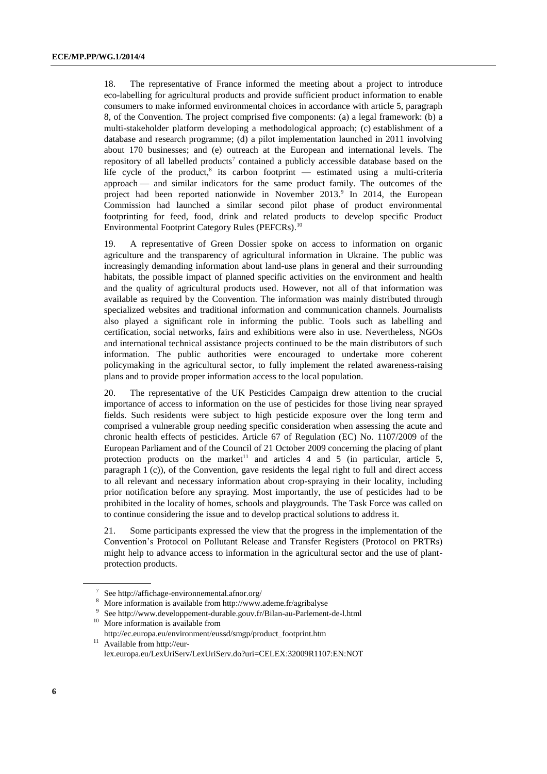18. The representative of France informed the meeting about a project to introduce eco-labelling for agricultural products and provide sufficient product information to enable consumers to make informed environmental choices in accordance with article 5, paragraph 8, of the Convention. The project comprised five components: (a) a legal framework: (b) a multi-stakeholder platform developing a methodological approach; (c) establishment of a database and research programme; (d) a pilot implementation launched in 2011 involving about 170 businesses; and (e) outreach at the European and international levels. The repository of all labelled products<sup>7</sup> contained a publicly accessible database based on the life cycle of the product, ${}^{8}$  its carbon footprint — estimated using a multi-criteria approach — and similar indicators for the same product family. The outcomes of the project had been reported nationwide in November 2013.<sup>9</sup> In 2014, the European Commission had launched a similar second pilot phase of product environmental footprinting for feed, food, drink and related products to develop specific Product Environmental Footprint Category Rules (PEFCRs).<sup>10</sup>

19. A representative of Green Dossier spoke on access to information on organic agriculture and the transparency of agricultural information in Ukraine. The public was increasingly demanding information about land-use plans in general and their surrounding habitats, the possible impact of planned specific activities on the environment and health and the quality of agricultural products used. However, not all of that information was available as required by the Convention. The information was mainly distributed through specialized websites and traditional information and communication channels. Journalists also played a significant role in informing the public. Tools such as labelling and certification, social networks, fairs and exhibitions were also in use. Nevertheless, NGOs and international technical assistance projects continued to be the main distributors of such information. The public authorities were encouraged to undertake more coherent policymaking in the agricultural sector, to fully implement the related awareness-raising plans and to provide proper information access to the local population.

20. The representative of the UK Pesticides Campaign drew attention to the crucial importance of access to information on the use of pesticides for those living near sprayed fields. Such residents were subject to high pesticide exposure over the long term and comprised a vulnerable group needing specific consideration when assessing the acute and chronic health effects of pesticides. Article 67 of Regulation (EC) No. 1107/2009 of the European Parliament and of the Council of 21 October 2009 concerning the placing of plant protection products on the market<sup>11</sup> and articles 4 and 5 (in particular, article 5, paragraph 1 (c)), of the Convention, gave residents the legal right to full and direct access to all relevant and necessary information about crop-spraying in their locality, including prior notification before any spraying. Most importantly, the use of pesticides had to be prohibited in the locality of homes, schools and playgrounds. The Task Force was called on to continue considering the issue and to develop practical solutions to address it.

21. Some participants expressed the view that the progress in the implementation of the Convention's Protocol on Pollutant Release and Transfer Registers (Protocol on PRTRs) might help to advance access to information in the agricultural sector and the use of plantprotection products.

- <sup>10</sup> More information is available from
- [http://ec.europa.eu/environment/eussd/smgp/product\\_footprint.htm](http://ec.europa.eu/environment/eussd/smgp/product_footprint.htm)  $11$  Available fro[m http://eur](http://eur-lex.europa.eu/LexUriServ/LexUriServ.do?uri=CELEX:32009R1107:EN:NOT)[lex.europa.eu/LexUriServ/LexUriServ.do?uri=CELEX:32009R1107:EN:NOT](http://eur-lex.europa.eu/LexUriServ/LexUriServ.do?uri=CELEX:32009R1107:EN:NOT)

<sup>&</sup>lt;sup>7</sup> Se[e http://affichage-environnemental.afnor.org/](http://affichage-environnemental.afnor.org/)

<sup>8</sup> More information is available fro[m http://www.ademe.fr/agribalyse](http://www.ademe.fr/agribalyse)

<sup>9</sup> Se[e http://www.developpement-durable.gouv.fr/Bilan-au-Parlement-de-l.html](http://www.developpement-durable.gouv.fr/Bilan-au-Parlement-de-l.html)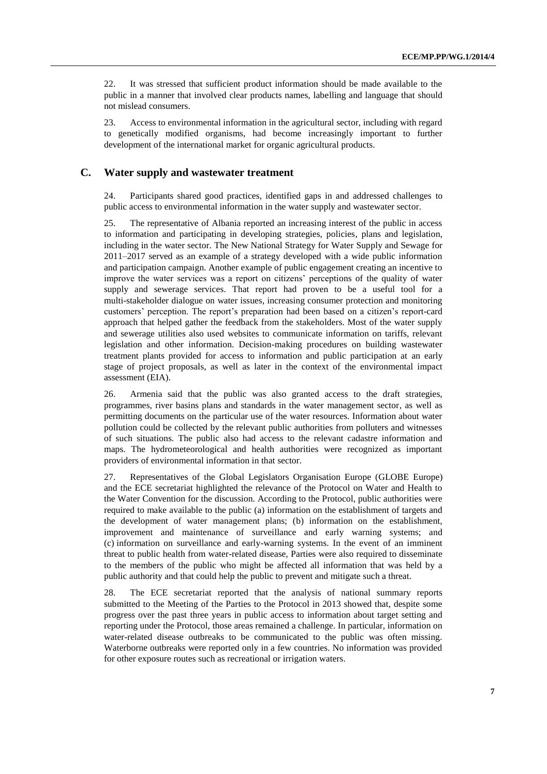22. It was stressed that sufficient product information should be made available to the public in a manner that involved clear products names, labelling and language that should not mislead consumers.

23. Access to environmental information in the agricultural sector, including with regard to genetically modified organisms, had become increasingly important to further development of the international market for organic agricultural products.

#### **C. Water supply and wastewater treatment**

24. Participants shared good practices, identified gaps in and addressed challenges to public access to environmental information in the water supply and wastewater sector.

25. The representative of Albania reported an increasing interest of the public in access to information and participating in developing strategies, policies, plans and legislation, including in the water sector. The New National Strategy for Water Supply and Sewage for 2011–2017 served as an example of a strategy developed with a wide public information and participation campaign. Another example of public engagement creating an incentive to improve the water services was a report on citizens' perceptions of the quality of water supply and sewerage services. That report had proven to be a useful tool for a multi-stakeholder dialogue on water issues, increasing consumer protection and monitoring customers' perception. The report's preparation had been based on a citizen's report-card approach that helped gather the feedback from the stakeholders. Most of the water supply and sewerage utilities also used websites to communicate information on tariffs, relevant legislation and other information. Decision-making procedures on building wastewater treatment plants provided for access to information and public participation at an early stage of project proposals, as well as later in the context of the environmental impact assessment (EIA).

26. Armenia said that the public was also granted access to the draft strategies, programmes, river basins plans and standards in the water management sector, as well as permitting documents on the particular use of the water resources. Information about water pollution could be collected by the relevant public authorities from polluters and witnesses of such situations. The public also had access to the relevant cadastre information and maps. The hydrometeorological and health authorities were recognized as important providers of environmental information in that sector.

27. Representatives of the Global Legislators Organisation Europe (GLOBE Europe) and the ECE secretariat highlighted the relevance of the Protocol on Water and Health to the Water Convention for the discussion. According to the Protocol, public authorities were required to make available to the public (a) information on the establishment of targets and the development of water management plans; (b) information on the establishment, improvement and maintenance of surveillance and early warning systems; and (c) information on surveillance and early-warning systems. In the event of an imminent threat to public health from water-related disease, Parties were also required to disseminate to the members of the public who might be affected all information that was held by a public authority and that could help the public to prevent and mitigate such a threat.

28. The ECE secretariat reported that the analysis of national summary reports submitted to the Meeting of the Parties to the Protocol in 2013 showed that, despite some progress over the past three years in public access to information about target setting and reporting under the Protocol, those areas remained a challenge. In particular, information on water-related disease outbreaks to be communicated to the public was often missing. Waterborne outbreaks were reported only in a few countries. No information was provided for other exposure routes such as recreational or irrigation waters.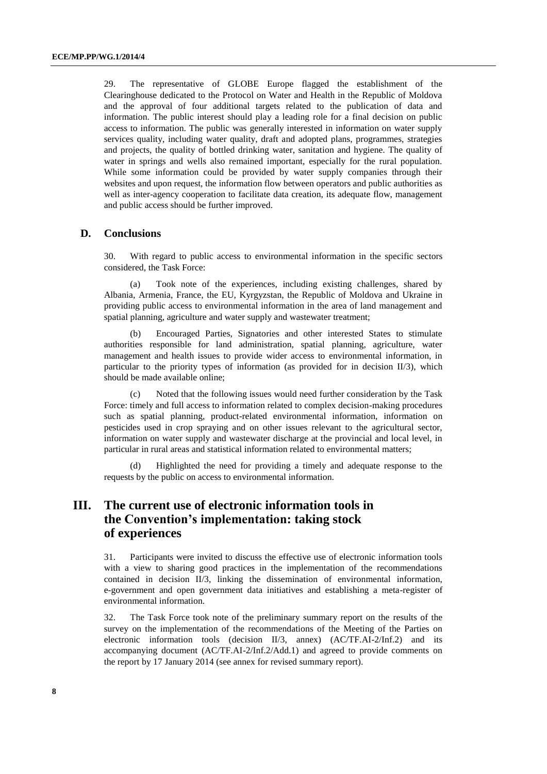29. The representative of GLOBE Europe flagged the establishment of the Clearinghouse dedicated to the Protocol on Water and Health in the Republic of Moldova and the approval of four additional targets related to the publication of data and information. The public interest should play a leading role for a final decision on public access to information. The public was generally interested in information on water supply services quality, including water quality, draft and adopted plans, programmes, strategies and projects, the quality of bottled drinking water, sanitation and hygiene. The quality of water in springs and wells also remained important, especially for the rural population. While some information could be provided by water supply companies through their websites and upon request, the information flow between operators and public authorities as well as inter-agency cooperation to facilitate data creation, its adequate flow, management and public access should be further improved.

#### **D. Conclusions**

30. With regard to public access to environmental information in the specific sectors considered, the Task Force:

(a) Took note of the experiences, including existing challenges, shared by Albania, Armenia, France, the EU, Kyrgyzstan, the Republic of Moldova and Ukraine in providing public access to environmental information in the area of land management and spatial planning, agriculture and water supply and wastewater treatment;

(b) Encouraged Parties, Signatories and other interested States to stimulate authorities responsible for land administration, spatial planning, agriculture, water management and health issues to provide wider access to environmental information, in particular to the priority types of information (as provided for in decision II/3), which should be made available online;

(c) Noted that the following issues would need further consideration by the Task Force: timely and full access to information related to complex decision-making procedures such as spatial planning, product-related environmental information, information on pesticides used in crop spraying and on other issues relevant to the agricultural sector, information on water supply and wastewater discharge at the provincial and local level, in particular in rural areas and statistical information related to environmental matters;

(d) Highlighted the need for providing a timely and adequate response to the requests by the public on access to environmental information.

# **III. The current use of electronic information tools in the Convention's implementation: taking stock of experiences**

31. Participants were invited to discuss the effective use of electronic information tools with a view to sharing good practices in the implementation of the recommendations contained in decision II/3, linking the dissemination of environmental information, e-government and open government data initiatives and establishing a meta-register of environmental information.

32. The Task Force took note of the preliminary summary report on the results of the survey on the implementation of the recommendations of the Meeting of the Parties on electronic information tools (decision II/3, annex) (AC/TF.AI-2/Inf.2) and its accompanying document (AC/TF.AI-2/Inf.2/Add.1) and agreed to provide comments on the report by 17 January 2014 (see annex for revised summary report).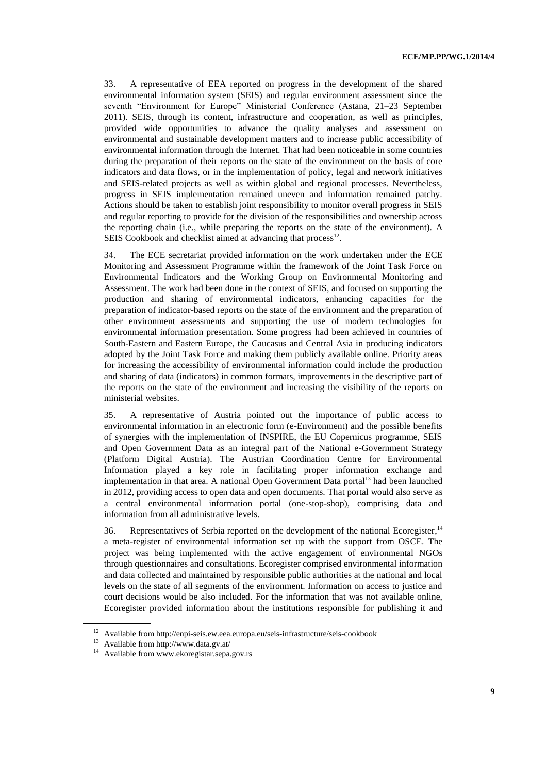33. A representative of EEA reported on progress in the development of the shared environmental information system (SEIS) and regular environment assessment since the seventh "Environment for Europe" Ministerial Conference (Astana, 21–23 September 2011). SEIS, through its content, infrastructure and cooperation, as well as principles, provided wide opportunities to advance the quality analyses and assessment on environmental and sustainable development matters and to increase public accessibility of environmental information through the Internet. That had been noticeable in some countries during the preparation of their reports on the state of the environment on the basis of core indicators and data flows, or in the implementation of policy, legal and network initiatives and SEIS-related projects as well as within global and regional processes. Nevertheless, progress in SEIS implementation remained uneven and information remained patchy. Actions should be taken to establish joint responsibility to monitor overall progress in SEIS and regular reporting to provide for the division of the responsibilities and ownership across the reporting chain (i.e., while preparing the reports on the state of the environment). A SEIS Cookbook and checklist aimed at advancing that process<sup>12</sup>.

34. The ECE secretariat provided information on the work undertaken under the ECE Monitoring and Assessment Programme within the framework of the Joint Task Force on Environmental Indicators and the Working Group on Environmental Monitoring and Assessment. The work had been done in the context of SEIS, and focused on supporting the production and sharing of environmental indicators, enhancing capacities for the preparation of indicator-based reports on the state of the environment and the preparation of other environment assessments and supporting the use of modern technologies for environmental information presentation. Some progress had been achieved in countries of South-Eastern and Eastern Europe, the Caucasus and Central Asia in producing indicators adopted by the Joint Task Force and making them publicly available online. Priority areas for increasing the accessibility of environmental information could include the production and sharing of data (indicators) in common formats, improvements in the descriptive part of the reports on the state of the environment and increasing the visibility of the reports on ministerial websites.

35. A representative of Austria pointed out the importance of public access to environmental information in an electronic form (e-Environment) and the possible benefits of synergies with the implementation of INSPIRE, the EU Copernicus programme, SEIS and Open Government Data as an integral part of the National e-Government Strategy (Platform Digital Austria). The Austrian Coordination Centre for Environmental Information played a key role in facilitating proper information exchange and implementation in that area. A national Open Government Data portal $^{13}$  had been launched in 2012, providing access to open data and open documents. That portal would also serve as a central environmental information portal (one-stop-shop), comprising data and information from all administrative levels.

36. Representatives of Serbia reported on the development of the national Ecoregister,<sup>14</sup> a meta-register of environmental information set up with the support from OSCE. The project was being implemented with the active engagement of environmental NGOs through questionnaires and consultations. Ecoregister comprised environmental information and data collected and maintained by responsible public authorities at the national and local levels on the state of all segments of the environment. Information on access to justice and court decisions would be also included. For the information that was not available online, Ecoregister provided information about the institutions responsible for publishing it and

<sup>12</sup> Available from http://enpi-seis.ew.eea.europa.eu/seis-infrastructure/seis-cookbook

<sup>13</sup> Available fro[m http://www.data.gv.at/](http://www.data.gv.at/)

<sup>14</sup> Available fro[m www.ekoregistar.sepa.gov.rs](http://www.ekoregistar.sepa.gov.rs/)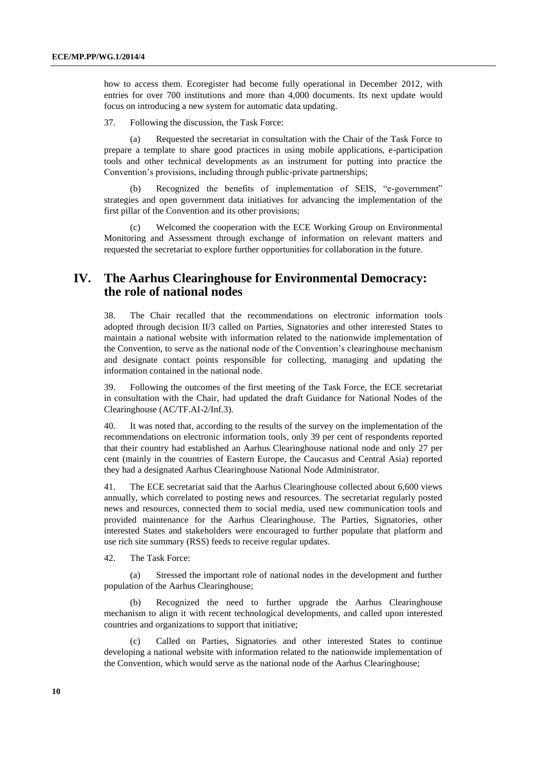how to access them. Ecoregister had become fully operational in December 2012, with entries for over 700 institutions and more than 4,000 documents. Its next update would focus on introducing a new system for automatic data updating.

37. Following the discussion, the Task Force:

(a) Requested the secretariat in consultation with the Chair of the Task Force to prepare a template to share good practices in using mobile applications, e-participation tools and other technical developments as an instrument for putting into practice the Convention's provisions, including through public-private partnerships;

(b) Recognized the benefits of implementation of SEIS, "e-government" strategies and open government data initiatives for advancing the implementation of the first pillar of the Convention and its other provisions;

(c) Welcomed the cooperation with the ECE Working Group on Environmental Monitoring and Assessment through exchange of information on relevant matters and requested the secretariat to explore further opportunities for collaboration in the future.

# **IV. The Aarhus Clearinghouse for Environmental Democracy: the role of national nodes**

38. The Chair recalled that the recommendations on electronic information tools adopted through decision II/3 called on Parties, Signatories and other interested States to maintain a national website with information related to the nationwide implementation of the Convention, to serve as the national node of the Convention's clearinghouse mechanism and designate contact points responsible for collecting, managing and updating the information contained in the national node.

39. Following the outcomes of the first meeting of the Task Force, the ECE secretariat in consultation with the Chair, had updated the draft Guidance for National Nodes of the Clearinghouse (AC/TF.AI-2/Inf.3).

40. It was noted that, according to the results of the survey on the implementation of the recommendations on electronic information tools, only 39 per cent of respondents reported that their country had established an Aarhus Clearinghouse national node and only 27 per cent (mainly in the countries of Eastern Europe, the Caucasus and Central Asia) reported they had a designated Aarhus Clearinghouse National Node Administrator.

41. The ECE secretariat said that the Aarhus Clearinghouse collected about 6,600 views annually, which correlated to posting news and resources. The secretariat regularly posted news and resources, connected them to social media, used new communication tools and provided maintenance for the Aarhus Clearinghouse. The Parties, Signatories, other interested States and stakeholders were encouraged to further populate that platform and use rich site summary (RSS) feeds to receive regular updates.

42. The Task Force:

(a) Stressed the important role of national nodes in the development and further population of the Aarhus Clearinghouse;

(b) Recognized the need to further upgrade the Aarhus Clearinghouse mechanism to align it with recent technological developments, and called upon interested countries and organizations to support that initiative;

(c) Called on Parties, Signatories and other interested States to continue developing a national website with information related to the nationwide implementation of the Convention, which would serve as the national node of the Aarhus Clearinghouse;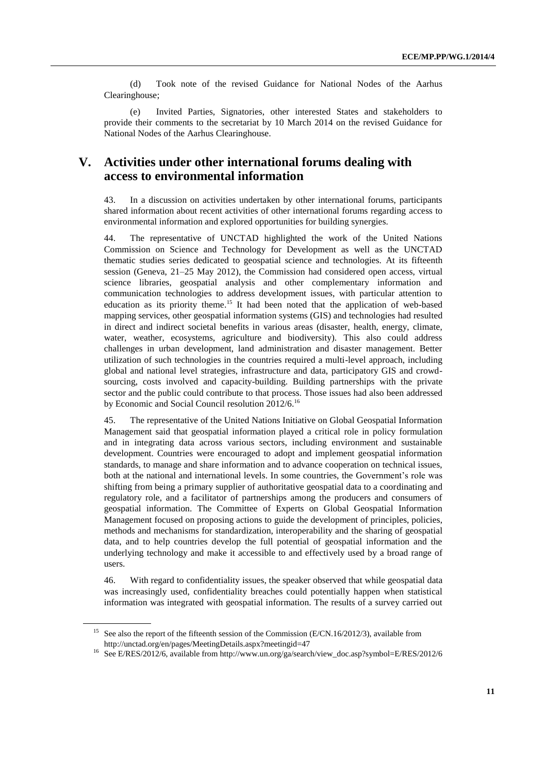(d) Took note of the revised Guidance for National Nodes of the Aarhus Clearinghouse;

(e) Invited Parties, Signatories, other interested States and stakeholders to provide their comments to the secretariat by 10 March 2014 on the revised Guidance for National Nodes of the Aarhus Clearinghouse.

# **V. Activities under other international forums dealing with access to environmental information**

43. In a discussion on activities undertaken by other international forums, participants shared information about recent activities of other international forums regarding access to environmental information and explored opportunities for building synergies.

44. The representative of UNCTAD highlighted the work of the United Nations Commission on Science and Technology for Development as well as the UNCTAD thematic studies series dedicated to geospatial science and technologies. At its fifteenth session (Geneva, 21–25 May 2012), the Commission had considered open access, virtual science libraries, geospatial analysis and other complementary information and communication technologies to address development issues, with particular attention to education as its priority theme.<sup>15</sup> It had been noted that the application of web-based mapping services, other geospatial information systems (GIS) and technologies had resulted in direct and indirect societal benefits in various areas (disaster, health, energy, climate, water, weather, ecosystems, agriculture and biodiversity). This also could address challenges in urban development, land administration and disaster management. Better utilization of such technologies in the countries required a multi-level approach, including global and national level strategies, infrastructure and data, participatory GIS and crowdsourcing, costs involved and capacity-building. Building partnerships with the private sector and the public could contribute to that process. Those issues had also been addressed by Economic and Social Council resolution 2012/6.<sup>16</sup>

45. The representative of the United Nations Initiative on Global Geospatial Information Management said that geospatial information played a critical role in policy formulation and in integrating data across various sectors, including environment and sustainable development. Countries were encouraged to adopt and implement geospatial information standards, to manage and share information and to advance cooperation on technical issues, both at the national and international levels. In some countries, the Government's role was shifting from being a primary supplier of authoritative geospatial data to a coordinating and regulatory role, and a facilitator of partnerships among the producers and consumers of geospatial information. The Committee of Experts on Global Geospatial Information Management focused on proposing actions to guide the development of principles, policies, methods and mechanisms for standardization, interoperability and the sharing of geospatial data, and to help countries develop the full potential of geospatial information and the underlying technology and make it accessible to and effectively used by a broad range of users.

46. With regard to confidentiality issues, the speaker observed that while geospatial data was increasingly used, confidentiality breaches could potentially happen when statistical information was integrated with geospatial information. The results of a survey carried out

<sup>&</sup>lt;sup>15</sup> See also the report of the fifteenth session of the Commission (E/CN.16/2012/3), available from http://unctad.org/en/pages/MeetingDetails.aspx?meetingid=47

<sup>16</sup> See E/RES/2012/6, available fro[m http://www.un.org/ga/search/view\\_doc.asp?symbol=E/RES/2012/6](http://www.un.org/ga/search/view_doc.asp?symbol=E/RES/2012/6)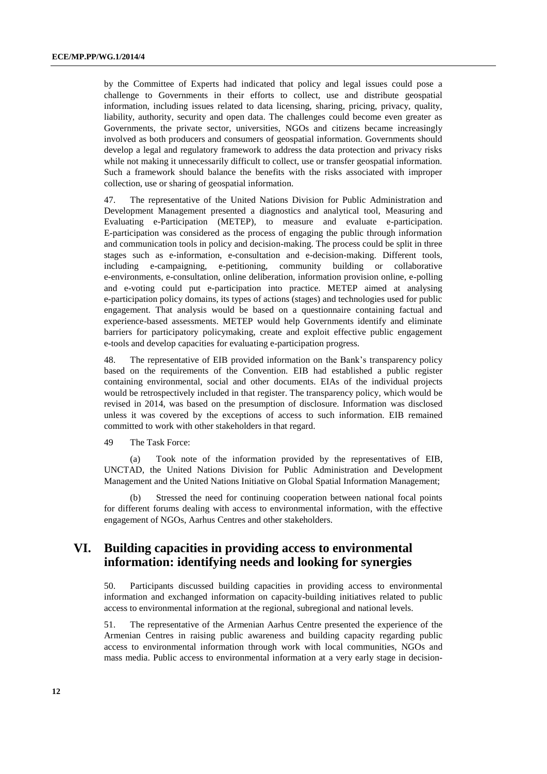by the Committee of Experts had indicated that policy and legal issues could pose a challenge to Governments in their efforts to collect, use and distribute geospatial information, including issues related to data licensing, sharing, pricing, privacy, quality, liability, authority, security and open data. The challenges could become even greater as Governments, the private sector, universities, NGOs and citizens became increasingly involved as both producers and consumers of geospatial information. Governments should develop a legal and regulatory framework to address the data protection and privacy risks while not making it unnecessarily difficult to collect, use or transfer geospatial information. Such a framework should balance the benefits with the risks associated with improper collection, use or sharing of geospatial information.

47. The representative of the United Nations Division for Public Administration and Development Management presented a diagnostics and analytical tool, Measuring and Evaluating e-Participation (METEP), to measure and evaluate e-participation. E-participation was considered as the process of engaging the public through information and communication tools in policy and decision-making. The process could be split in three stages such as e-information, e-consultation and e-decision-making. Different tools, including e-campaigning, e-petitioning, community building or collaborative e-environments, e-consultation, online deliberation, information provision online, e-polling and e-voting could put e-participation into practice. METEP aimed at analysing e-participation policy domains, its types of actions (stages) and technologies used for public engagement. That analysis would be based on a questionnaire containing factual and experience-based assessments. METEP would help Governments identify and eliminate barriers for participatory policymaking, create and exploit effective public engagement e-tools and develop capacities for evaluating e-participation progress.

48. The representative of EIB provided information on the Bank's transparency policy based on the requirements of the Convention. EIB had established a public register containing environmental, social and other documents. EIAs of the individual projects would be retrospectively included in that register. The transparency policy, which would be revised in 2014, was based on the presumption of disclosure. Information was disclosed unless it was covered by the exceptions of access to such information. EIB remained committed to work with other stakeholders in that regard.

49 The Task Force:

(a) Took note of the information provided by the representatives of EIB, UNCTAD, the United Nations Division for Public Administration and Development Management and the United Nations Initiative on Global Spatial Information Management;

(b) Stressed the need for continuing cooperation between national focal points for different forums dealing with access to environmental information, with the effective engagement of NGOs, Aarhus Centres and other stakeholders.

# **VI. Building capacities in providing access to environmental information: identifying needs and looking for synergies**

50. Participants discussed building capacities in providing access to environmental information and exchanged information on capacity-building initiatives related to public access to environmental information at the regional, subregional and national levels.

51. The representative of the Armenian Aarhus Centre presented the experience of the Armenian Centres in raising public awareness and building capacity regarding public access to environmental information through work with local communities, NGOs and mass media. Public access to environmental information at a very early stage in decision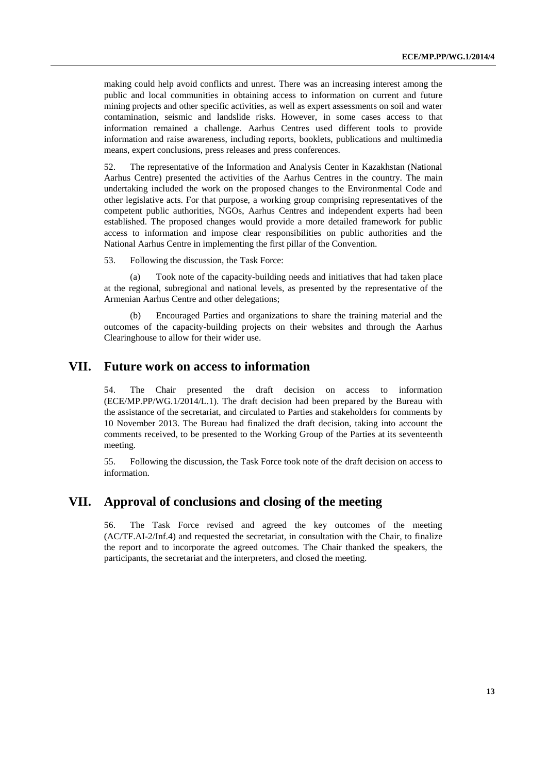making could help avoid conflicts and unrest. There was an increasing interest among the public and local communities in obtaining access to information on current and future mining projects and other specific activities, as well as expert assessments on soil and water contamination, seismic and landslide risks. However, in some cases access to that information remained a challenge. Aarhus Centres used different tools to provide information and raise awareness, including reports, booklets, publications and multimedia means, expert conclusions, press releases and press conferences.

52. The representative of the Information and Analysis Center in Kazakhstan (National Aarhus Centre) presented the activities of the Aarhus Centres in the country. The main undertaking included the work on the proposed changes to the Environmental Code and other legislative acts. For that purpose, a working group comprising representatives of the competent public authorities, NGOs, Aarhus Centres and independent experts had been established. The proposed changes would provide a more detailed framework for public access to information and impose clear responsibilities on public authorities and the National Aarhus Centre in implementing the first pillar of the Convention.

53. Following the discussion, the Task Force:

(a) Took note of the capacity-building needs and initiatives that had taken place at the regional, subregional and national levels, as presented by the representative of the Armenian Aarhus Centre and other delegations;

(b) Encouraged Parties and organizations to share the training material and the outcomes of the capacity-building projects on their websites and through the Aarhus Clearinghouse to allow for their wider use.

#### **VII. Future work on access to information**

54. The Chair presented the draft decision on access to information (ECE/MP.PP/WG.1/2014/L.1). The draft decision had been prepared by the Bureau with the assistance of the secretariat, and circulated to Parties and stakeholders for comments by 10 November 2013. The Bureau had finalized the draft decision, taking into account the comments received, to be presented to the Working Group of the Parties at its seventeenth meeting.

55. Following the discussion, the Task Force took note of the draft decision on access to information.

### **VII. Approval of conclusions and closing of the meeting**

56. The Task Force revised and agreed the key outcomes of the meeting (AC/TF.AI-2/Inf.4) and requested the secretariat, in consultation with the Chair, to finalize the report and to incorporate the agreed outcomes. The Chair thanked the speakers, the participants, the secretariat and the interpreters, and closed the meeting.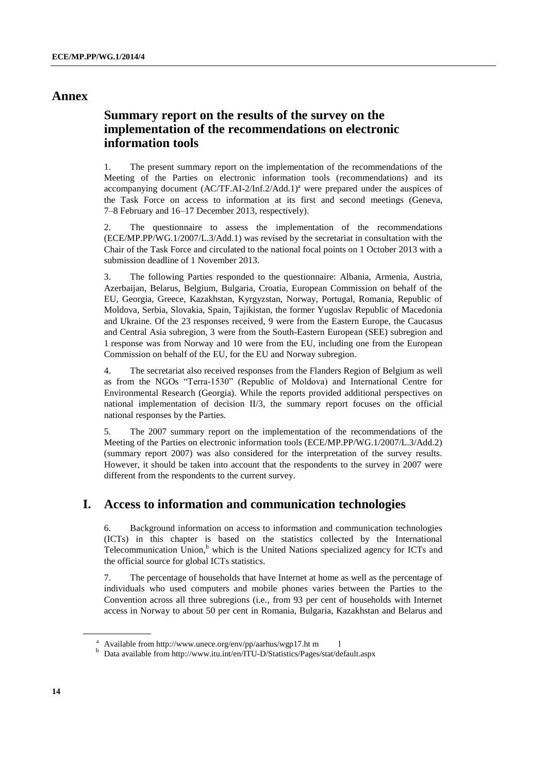#### **Annex**

# **Summary report on the results of the survey on the implementation of the recommendations on electronic information tools**

1. The present summary report on the implementation of the recommendations of the Meeting of the Parties on electronic information tools (recommendations) and its accompanying document  $(AC/TF.AI-2/Inf.2/Add.1)<sup>a</sup>$  were prepared under the auspices of the Task Force on access to information at its first and second meetings (Geneva, 7–8 February and 16–17 December 2013, respectively).

2. The questionnaire to assess the implementation of the recommendations (ECE/MP.PP/WG.1/2007/L.3/Add.1) was revised by the secretariat in consultation with the Chair of the Task Force and circulated to the national focal points on 1 October 2013 with a submission deadline of 1 November 2013.

3. The following Parties responded to the questionnaire: Albania, Armenia, Austria, Azerbaijan, Belarus, Belgium, Bulgaria, Croatia, European Commission on behalf of the EU, Georgia, Greece, Kazakhstan, Kyrgyzstan, Norway, Portugal, Romania, Republic of Moldova, Serbia, Slovakia, Spain, Tajikistan, the former Yugoslav Republic of Macedonia and Ukraine. Of the 23 responses received, 9 were from the Eastern Europe, the Caucasus and Central Asia subregion, 3 were from the South-Eastern European (SEE) subregion and 1 response was from Norway and 10 were from the EU, including one from the European Commission on behalf of the EU, for the EU and Norway subregion.

4. The secretariat also received responses from the Flanders Region of Belgium as well as from the NGOs "Terra-1530" (Republic of Moldova) and International Centre for Environmental Research (Georgia). While the reports provided additional perspectives on national implementation of decision II/3, the summary report focuses on the official national responses by the Parties.

5. The 2007 summary report on the implementation of the recommendations of the Meeting of the Parties on electronic information tools (ECE/MP.PP/WG.1/2007/L.3/Add.2) (summary report 2007) was also considered for the interpretation of the survey results. However, it should be taken into account that the respondents to the survey in 2007 were different from the respondents to the current survey.

## **I. Access to information and communication technologies**

6. Background information on access to information and communication technologies (ICTs) in this chapter is based on the statistics collected by the International Telecommunication Union,<sup>b</sup> which is the United Nations specialized agency for ICTs and the official source for global ICTs statistics.

7. The percentage of households that have Internet at home as well as the percentage of individuals who used computers and mobile phones varies between the Parties to the Convention across all three subregions (i.e., from 93 per cent of households with Internet access in Norway to about 50 per cent in Romania, Bulgaria, Kazakhstan and Belarus and

<sup>&</sup>lt;sup>a</sup> Available fro[m http://www.unece.org/env/pp/aarhus/wgp17.ht](http://www.unece.org/env/pp/aarhus/wgp17.html) m l

<sup>b</sup> Data available from <http://www.itu.int/en/ITU-D/Statistics/Pages/stat/default.aspx>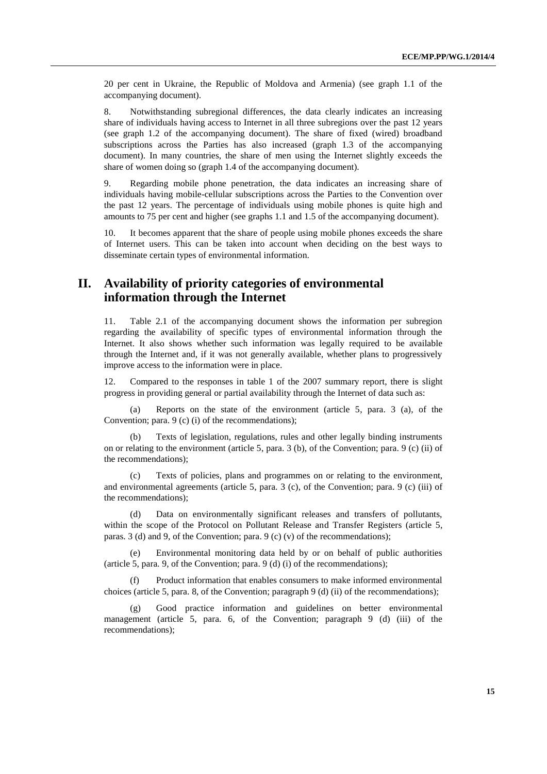20 per cent in Ukraine, the Republic of Moldova and Armenia) (see graph 1.1 of the accompanying document).

8. Notwithstanding subregional differences, the data clearly indicates an increasing share of individuals having access to Internet in all three subregions over the past 12 years (see graph 1.2 of the accompanying document). The share of fixed (wired) broadband subscriptions across the Parties has also increased (graph 1.3 of the accompanying document). In many countries, the share of men using the Internet slightly exceeds the share of women doing so (graph 1.4 of the accompanying document).

9. Regarding mobile phone penetration, the data indicates an increasing share of individuals having mobile-cellular subscriptions across the Parties to the Convention over the past 12 years. The percentage of individuals using mobile phones is quite high and amounts to 75 per cent and higher (see graphs 1.1 and 1.5 of the accompanying document).

10. It becomes apparent that the share of people using mobile phones exceeds the share of Internet users. This can be taken into account when deciding on the best ways to disseminate certain types of environmental information.

# **II. Availability of priority categories of environmental information through the Internet**

11. Table 2.1 of the accompanying document shows the information per subregion regarding the availability of specific types of environmental information through the Internet. It also shows whether such information was legally required to be available through the Internet and, if it was not generally available, whether plans to progressively improve access to the information were in place.

12. Compared to the responses in table 1 of the 2007 summary report, there is slight progress in providing general or partial availability through the Internet of data such as:

(a) Reports on the state of the environment (article 5, para. 3 (a), of the Convention; para. 9 (c) (i) of the recommendations);

(b) Texts of legislation, regulations, rules and other legally binding instruments on or relating to the environment (article 5, para. 3 (b), of the Convention; para. 9 (c) (ii) of the recommendations);

(c) Texts of policies, plans and programmes on or relating to the environment, and environmental agreements (article 5, para.  $3$  (c), of the Convention; para.  $9$  (c) (iii) of the recommendations);

(d) Data on environmentally significant releases and transfers of pollutants, within the scope of the Protocol on Pollutant Release and Transfer Registers (article 5, paras. 3 (d) and 9, of the Convention; para. 9 (c) (v) of the recommendations);

(e) Environmental monitoring data held by or on behalf of public authorities (article 5, para. 9, of the Convention; para. 9 (d) (i) of the recommendations);

(f) Product information that enables consumers to make informed environmental choices (article 5, para. 8, of the Convention; paragraph 9 (d) (ii) of the recommendations);

(g) Good practice information and guidelines on better environmental management (article 5, para. 6, of the Convention; paragraph 9 (d) (iii) of the recommendations);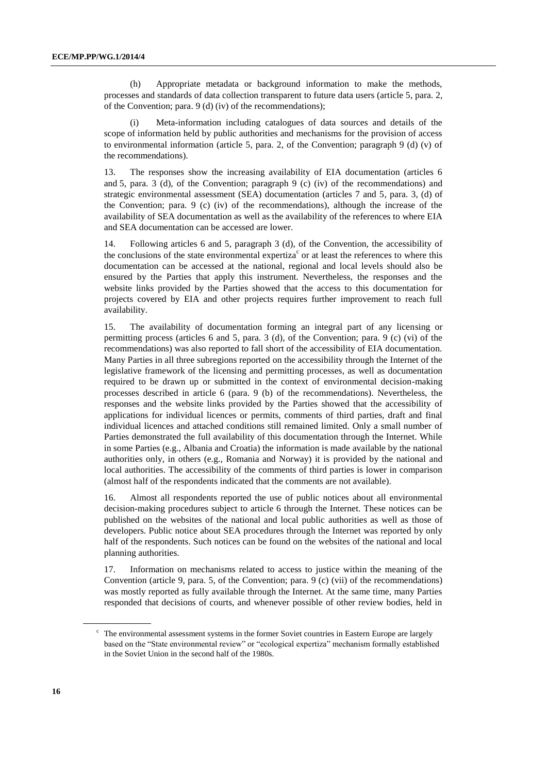(h) Appropriate metadata or background information to make the methods, processes and standards of data collection transparent to future data users (article 5, para. 2, of the Convention; para. 9 (d) (iv) of the recommendations);

Meta-information including catalogues of data sources and details of the scope of information held by public authorities and mechanisms for the provision of access to environmental information (article 5, para. 2, of the Convention; paragraph  $9$  (d) (v) of the recommendations).

13. The responses show the increasing availability of EIA documentation (articles 6 and 5, para. 3 (d), of the Convention; paragraph 9 (c) (iv) of the recommendations) and strategic environmental assessment (SEA) documentation (articles 7 and 5, para. 3, (d) of the Convention; para. 9 (c) (iv) of the recommendations), although the increase of the availability of SEA documentation as well as the availability of the references to where EIA and SEA documentation can be accessed are lower.

14. Following articles 6 and 5, paragraph 3 (d), of the Convention, the accessibility of the conclusions of the state environmental expertiza<sup>c</sup> or at least the references to where this documentation can be accessed at the national, regional and local levels should also be ensured by the Parties that apply this instrument. Nevertheless, the responses and the website links provided by the Parties showed that the access to this documentation for projects covered by EIA and other projects requires further improvement to reach full availability.

15. The availability of documentation forming an integral part of any licensing or permitting process (articles 6 and 5, para. 3 (d), of the Convention; para. 9 (c) (vi) of the recommendations) was also reported to fall short of the accessibility of EIA documentation. Many Parties in all three subregions reported on the accessibility through the Internet of the legislative framework of the licensing and permitting processes, as well as documentation required to be drawn up or submitted in the context of environmental decision-making processes described in article 6 (para. 9 (b) of the recommendations). Nevertheless, the responses and the website links provided by the Parties showed that the accessibility of applications for individual licences or permits, comments of third parties, draft and final individual licences and attached conditions still remained limited. Only a small number of Parties demonstrated the full availability of this documentation through the Internet. While in some Parties (e.g., Albania and Croatia) the information is made available by the national authorities only, in others (e.g., Romania and Norway) it is provided by the national and local authorities. The accessibility of the comments of third parties is lower in comparison (almost half of the respondents indicated that the comments are not available).

16. Almost all respondents reported the use of public notices about all environmental decision-making procedures subject to article 6 through the Internet. These notices can be published on the websites of the national and local public authorities as well as those of developers. Public notice about SEA procedures through the Internet was reported by only half of the respondents. Such notices can be found on the websites of the national and local planning authorities.

17. Information on mechanisms related to access to justice within the meaning of the Convention (article 9, para. 5, of the Convention; para. 9 (c) (vii) of the recommendations) was mostly reported as fully available through the Internet. At the same time, many Parties responded that decisions of courts, and whenever possible of other review bodies, held in

<sup>c</sup> The environmental assessment systems in the former Soviet countries in Eastern Europe are largely based on the "State environmental review" or "ecological expertiza" mechanism formally established in the Soviet Union in the second half of the 1980s.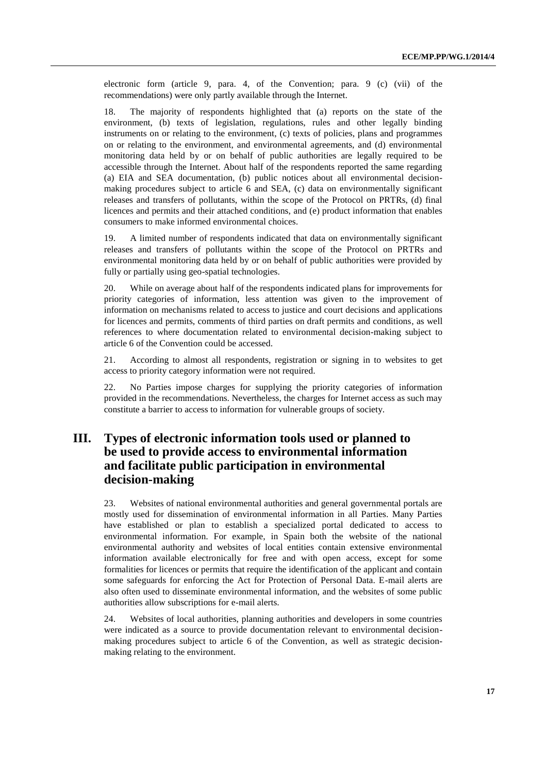electronic form (article 9, para. 4, of the Convention; para. 9 (c) (vii) of the recommendations) were only partly available through the Internet.

18. The majority of respondents highlighted that (a) reports on the state of the environment, (b) texts of legislation, regulations, rules and other legally binding instruments on or relating to the environment, (c) texts of policies, plans and programmes on or relating to the environment, and environmental agreements, and (d) environmental monitoring data held by or on behalf of public authorities are legally required to be accessible through the Internet. About half of the respondents reported the same regarding (a) EIA and SEA documentation, (b) public notices about all environmental decisionmaking procedures subject to article 6 and SEA, (c) data on environmentally significant releases and transfers of pollutants, within the scope of the Protocol on PRTRs, (d) final licences and permits and their attached conditions, and (e) product information that enables consumers to make informed environmental choices.

19. A limited number of respondents indicated that data on environmentally significant releases and transfers of pollutants within the scope of the Protocol on PRTRs and environmental monitoring data held by or on behalf of public authorities were provided by fully or partially using geo-spatial technologies.

20. While on average about half of the respondents indicated plans for improvements for priority categories of information, less attention was given to the improvement of information on mechanisms related to access to justice and court decisions and applications for licences and permits, comments of third parties on draft permits and conditions, as well references to where documentation related to environmental decision-making subject to article 6 of the Convention could be accessed.

21. According to almost all respondents, registration or signing in to websites to get access to priority category information were not required.

22. No Parties impose charges for supplying the priority categories of information provided in the recommendations. Nevertheless, the charges for Internet access as such may constitute a barrier to access to information for vulnerable groups of society.

# **III. Types of electronic information tools used or planned to be used to provide access to environmental information and facilitate public participation in environmental decision-making**

23. Websites of national environmental authorities and general governmental portals are mostly used for dissemination of environmental information in all Parties. Many Parties have established or plan to establish a specialized portal dedicated to access to environmental information. For example, in Spain both the website of the national environmental authority and websites of local entities contain extensive environmental information available electronically for free and with open access, except for some formalities for licences or permits that require the identification of the applicant and contain some safeguards for enforcing the Act for Protection of Personal Data. E-mail alerts are also often used to disseminate environmental information, and the websites of some public authorities allow subscriptions for e-mail alerts.

24. Websites of local authorities, planning authorities and developers in some countries were indicated as a source to provide documentation relevant to environmental decisionmaking procedures subject to article 6 of the Convention, as well as strategic decisionmaking relating to the environment.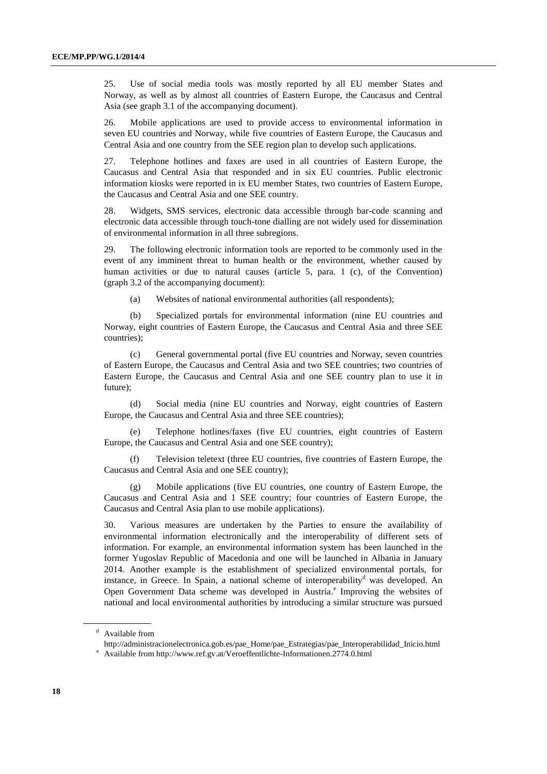25. Use of social media tools was mostly reported by all EU member States and Norway, as well as by almost all countries of Eastern Europe, the Caucasus and Central Asia (see graph 3.1 of the accompanying document).

26. Mobile applications are used to provide access to environmental information in seven EU countries and Norway, while five countries of Eastern Europe, the Caucasus and Central Asia and one country from the SEE region plan to develop such applications.

27. Telephone hotlines and faxes are used in all countries of Eastern Europe, the Caucasus and Central Asia that responded and in six EU countries. Public electronic information kiosks were reported in ix EU member States, two countries of Eastern Europe, the Caucasus and Central Asia and one SEE country.

28. Widgets, SMS services, electronic data accessible through bar-code scanning and electronic data accessible through touch-tone dialling are not widely used for dissemination of environmental information in all three subregions.

29. The following electronic information tools are reported to be commonly used in the event of any imminent threat to human health or the environment, whether caused by human activities or due to natural causes (article 5, para. 1 (c), of the Convention) (graph 3.2 of the accompanying document):

(a) Websites of national environmental authorities (all respondents);

(b) Specialized portals for environmental information (nine EU countries and Norway, eight countries of Eastern Europe, the Caucasus and Central Asia and three SEE countries);

(c) General governmental portal (five EU countries and Norway, seven countries of Eastern Europe, the Caucasus and Central Asia and two SEE countries; two countries of Eastern Europe, the Caucasus and Central Asia and one SEE country plan to use it in future);

(d) Social media (nine EU countries and Norway, eight countries of Eastern Europe, the Caucasus and Central Asia and three SEE countries);

Telephone hotlines/faxes (five EU countries, eight countries of Eastern Europe, the Caucasus and Central Asia and one SEE country);

(f) Television teletext (three EU countries, five countries of Eastern Europe, the Caucasus and Central Asia and one SEE country);

Mobile applications (five EU countries, one country of Eastern Europe, the Caucasus and Central Asia and 1 SEE country; four countries of Eastern Europe, the Caucasus and Central Asia plan to use mobile applications).

30. Various measures are undertaken by the Parties to ensure the availability of environmental information electronically and the interoperability of different sets of information. For example, an environmental information system has been launched in the former Yugoslav Republic of Macedonia and one will be launched in Albania in January 2014. Another example is the establishment of specialized environmental portals, for instance, in Greece. In Spain, a national scheme of interoperability<sup>d</sup> was developed. An Open Government Data scheme was developed in Austria.<sup>e</sup> Improving the websites of national and local environmental authorities by introducing a similar structure was pursued

<sup>d</sup> Available from

[http://administracionelectronica.gob.es/pae\\_Home/pae\\_Estrategias/pae\\_Interoperabilidad\\_Inicio.html](http://administracionelectronica.gob.es/pae_Home/pae_Estrategias/pae_Interoperabilidad_Inicio.html)

<sup>e</sup> Available fro[m http://www.ref.gv.at/Veroeffentlichte-Informationen.2774.0.html](http://www.ref.gv.at/Veroeffentlichte-Informationen.2774.0.html)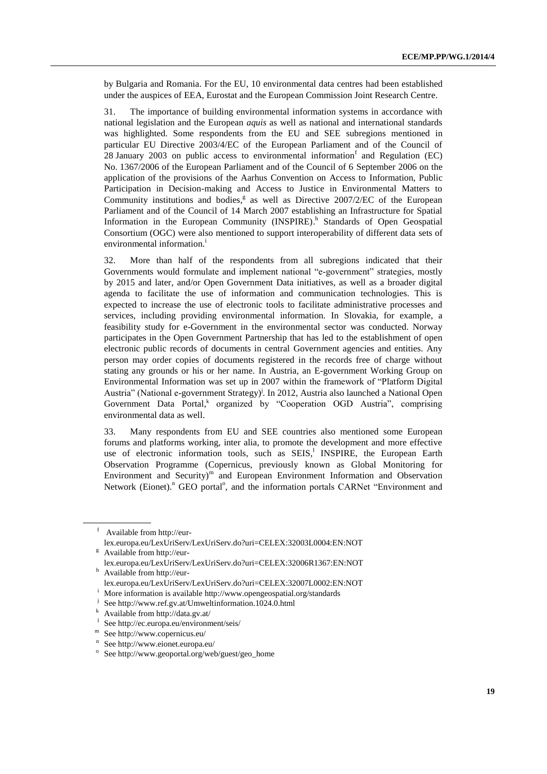by Bulgaria and Romania. For the EU, 10 environmental data centres had been established under the auspices of EEA, Eurostat and the European Commission Joint Research Centre.

31. The importance of building environmental information systems in accordance with national legislation and the European *aquis* as well as national and international standards was highlighted. Some respondents from the EU and SEE subregions mentioned in particular EU Directive 2003/4/EC of the European Parliament and of the Council of 28 January 2003 on public access to environmental information  $f$  and Regulation (EC) No. 1367/2006 of the European Parliament and of the Council of 6 September 2006 on the application of the provisions of the Aarhus Convention on Access to Information, Public Participation in Decision-making and Access to Justice in Environmental Matters to Community institutions and bodies,<sup>g</sup> as well as Directive 2007/2/EC of the European Parliament and of the Council of 14 March 2007 establishing an Infrastructure for Spatial Information in the European Community (INSPIRE).<sup>h</sup> Standards of Open Geospatial Consortium (OGC) were also mentioned to support interoperability of different data sets of environmental information.<sup>i</sup>

32. More than half of the respondents from all subregions indicated that their Governments would formulate and implement national "e-government" strategies, mostly by 2015 and later, and/or Open Government Data initiatives, as well as a broader digital agenda to facilitate the use of information and communication technologies. This is expected to increase the use of electronic tools to facilitate administrative processes and services, including providing environmental information. In Slovakia, for example, a feasibility study for e-Government in the environmental sector was conducted. Norway participates in the Open Government Partnership that has led to the establishment of open electronic public records of documents in central Government agencies and entities. Any person may order copies of documents registered in the records free of charge without stating any grounds or his or her name. In Austria, an E-government Working Group on Environmental Information was set up in 2007 within the framework of "Platform Digital Austria" (National e-government Strategy)<sup>j</sup>. In 2012, Austria also launched a National Open Government Data Portal, reganized by "Cooperation OGD Austria", comprising environmental data as well.

33. Many respondents from EU and SEE countries also mentioned some European forums and platforms working, inter alia, to promote the development and more effective use of electronic information tools, such as SEIS,<sup>1</sup> INSPIRE, the European Earth Observation Programme (Copernicus, previously known as Global Monitoring for Environment and Security)<sup>m</sup> and European Environment Information and Observation Network (Eionet).<sup>n</sup> GEO portal<sup>o</sup>, and the information portals CARNet "Environment and

<sup>f</sup> Available fro[m http://eur](http://eur-lex.europa.eu/LexUriServ/LexUriServ.do?uri=CELEX:32003L0004:EN:NOT)[lex.europa.eu/LexUriServ/LexUriServ.do?uri=CELEX:32003L0004:EN:NOT](http://eur-lex.europa.eu/LexUriServ/LexUriServ.do?uri=CELEX:32003L0004:EN:NOT)

<sup>g</sup> Available fro[m http://eur-](http://eur-lex.europa.eu/LexUriServ/LexUriServ.do?uri=CELEX:32006R1367:EN:NOT)

[lex.europa.eu/LexUriServ/LexUriServ.do?uri=CELEX:32006R1367:EN:NOT](http://eur-lex.europa.eu/LexUriServ/LexUriServ.do?uri=CELEX:32006R1367:EN:NOT) <sup>h</sup> Available fro[m http://eur-](http://eur-lex.europa.eu/LexUriServ/LexUriServ.do?uri=CELEX:32007L0002:EN:NOT)

[lex.europa.eu/LexUriServ/LexUriServ.do?uri=CELEX:32007L0002:EN:NOT](http://eur-lex.europa.eu/LexUriServ/LexUriServ.do?uri=CELEX:32007L0002:EN:NOT)

More information is available<http://www.opengeospatial.org/standards>

j Se[e http://www.ref.gv.at/Umweltinformation.1024.0.html](http://www.ref.gv.at/Umweltinformation.1024.0.html)

 $k$  Available fro[m http://data.gv.at/](http://data.gv.at/)

l Se[e http://ec.europa.eu/environment/seis/](http://ec.europa.eu/environment/seis/)

m Se[e http://www.copernicus.eu/](http://www.copernicus.eu/)

<sup>&</sup>lt;sup>n</sup> Se[e http://www.eionet.europa.eu/](http://www.eionet.europa.eu/)

<sup>&</sup>lt;sup>o</sup> Se[e http://www.geoportal.org/web/guest/geo\\_home](http://www.geoportal.org/web/guest/geo_home)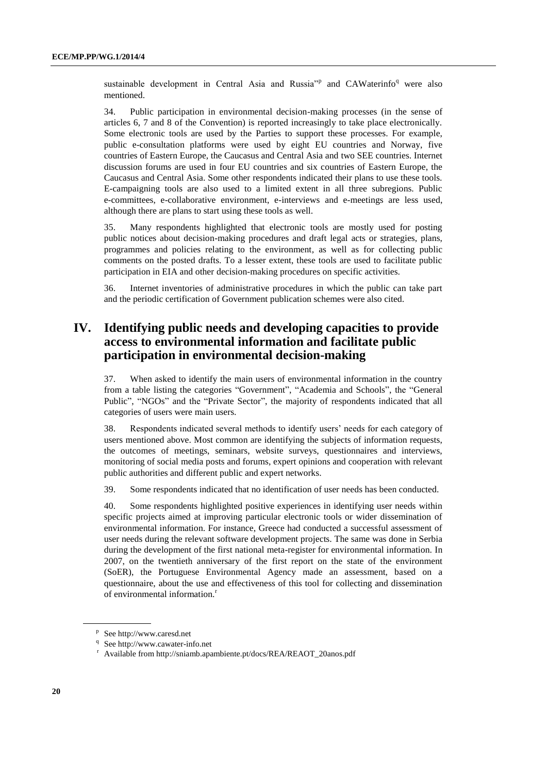sustainable development in Central Asia and Russia<sup>7</sup> and CAWaterinfo<sup>q</sup> were also mentioned.

34. Public participation in environmental decision-making processes (in the sense of articles 6, 7 and 8 of the Convention) is reported increasingly to take place electronically. Some electronic tools are used by the Parties to support these processes. For example, public e-consultation platforms were used by eight EU countries and Norway, five countries of Eastern Europe, the Caucasus and Central Asia and two SEE countries. Internet discussion forums are used in four EU countries and six countries of Eastern Europe, the Caucasus and Central Asia. Some other respondents indicated their plans to use these tools. E-campaigning tools are also used to a limited extent in all three subregions. Public e-committees, e-collaborative environment, e-interviews and e-meetings are less used, although there are plans to start using these tools as well.

35. Many respondents highlighted that electronic tools are mostly used for posting public notices about decision-making procedures and draft legal acts or strategies, plans, programmes and policies relating to the environment, as well as for collecting public comments on the posted drafts. To a lesser extent, these tools are used to facilitate public participation in EIA and other decision-making procedures on specific activities.

36. Internet inventories of administrative procedures in which the public can take part and the periodic certification of Government publication schemes were also cited.

# **IV. Identifying public needs and developing capacities to provide access to environmental information and facilitate public participation in environmental decision-making**

37. When asked to identify the main users of environmental information in the country from a table listing the categories "Government", "Academia and Schools", the "General Public", "NGOs" and the "Private Sector", the majority of respondents indicated that all categories of users were main users.

38. Respondents indicated several methods to identify users' needs for each category of users mentioned above. Most common are identifying the subjects of information requests, the outcomes of meetings, seminars, website surveys, questionnaires and interviews, monitoring of social media posts and forums, expert opinions and cooperation with relevant public authorities and different public and expert networks.

39. Some respondents indicated that no identification of user needs has been conducted.

40. Some respondents highlighted positive experiences in identifying user needs within specific projects aimed at improving particular electronic tools or wider dissemination of environmental information. For instance, Greece had conducted a successful assessment of user needs during the relevant software development projects. The same was done in Serbia during the development of the first national meta-register for environmental information. In 2007, on the twentieth anniversary of the first report on the state of the environment (SoER), the Portuguese Environmental Agency made an assessment, based on a questionnaire, about the use and effectiveness of this tool for collecting and dissemination of environmental information.<sup>r</sup>

p Se[e http://www.caresd.net](http://www.caresd.net/)

<sup>&</sup>lt;sup>q</sup> Se[e http://www.cawater-info.net](http://www.cawater-info.net/)

<sup>r</sup> [Available from http://sniamb.apambiente.pt/docs/REA/REAOT\\_20anos.pdf](../../../in%20preparation/Available%20from%20http:/sniamb.apambiente.pt/docs/REA/REAOT_20anos.pdf)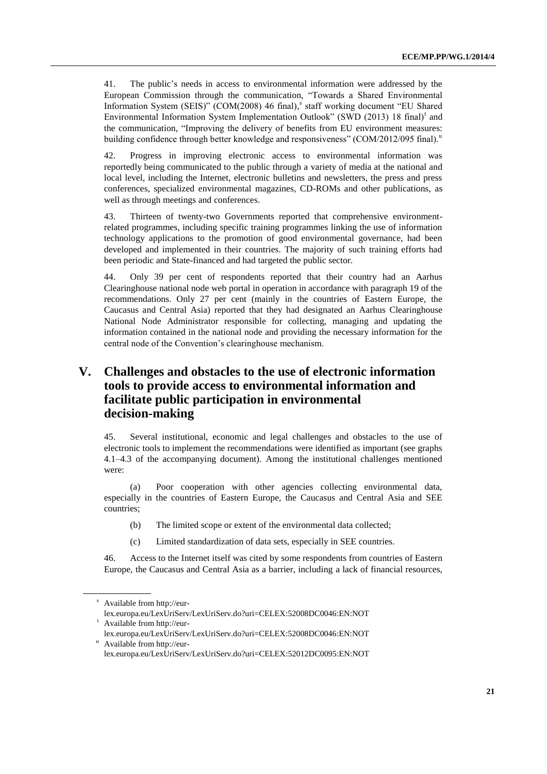41. The public's needs in access to environmental information were addressed by the European Commission through the communication, "Towards a Shared Environmental Information System (SEIS)" (COM(2008) 46 final), s staff working document "EU Shared Environmental Information System Implementation Outlook" (SWD (2013) 18 final)<sup>t</sup> and the communication, "Improving the delivery of benefits from EU environment measures: building confidence through better knowledge and responsiveness" (COM/2012/095 final).

42. Progress in improving electronic access to environmental information was reportedly being communicated to the public through a variety of media at the national and local level, including the Internet, electronic bulletins and newsletters, the press and press conferences, specialized environmental magazines, CD-ROMs and other publications, as well as through meetings and conferences.

43. Thirteen of twenty-two Governments reported that comprehensive environmentrelated programmes, including specific training programmes linking the use of information technology applications to the promotion of good environmental governance, had been developed and implemented in their countries. The majority of such training efforts had been periodic and State-financed and had targeted the public sector.

44. Only 39 per cent of respondents reported that their country had an Aarhus Clearinghouse national node web portal in operation in accordance with paragraph 19 of the recommendations. Only 27 per cent (mainly in the countries of Eastern Europe, the Caucasus and Central Asia) reported that they had designated an Aarhus Clearinghouse National Node Administrator responsible for collecting, managing and updating the information contained in the national node and providing the necessary information for the central node of the Convention's clearinghouse mechanism.

# **V. Challenges and obstacles to the use of electronic information tools to provide access to environmental information and facilitate public participation in environmental decision-making**

45. Several institutional, economic and legal challenges and obstacles to the use of electronic tools to implement the recommendations were identified as important (see graphs 4.1–4.3 of the accompanying document). Among the institutional challenges mentioned were:

(a) Poor cooperation with other agencies collecting environmental data, especially in the countries of Eastern Europe, the Caucasus and Central Asia and SEE countries;

- (b) The limited scope or extent of the environmental data collected;
- (c) Limited standardization of data sets, especially in SEE countries.

46. Access to the Internet itself was cited by some respondents from countries of Eastern Europe, the Caucasus and Central Asia as a barrier, including a lack of financial resources,

<sup>s</sup> Available fro[m http://eur-](http://eur-lex.europa.eu/LexUriServ/LexUriServ.do?uri=CELEX:52008DC0046:EN:NOT)

[lex.europa.eu/LexUriServ/LexUriServ.do?uri=CELEX:52008DC0046:EN:NOT](http://eur-lex.europa.eu/LexUriServ/LexUriServ.do?uri=CELEX:52008DC0046:EN:NOT) <sup>t</sup> Available fro[m http://eur-](http://eur-lex.europa.eu/LexUriServ/LexUriServ.do?uri=CELEX:52008DC0046:EN:NOT)

[lex.europa.eu/LexUriServ/LexUriServ.do?uri=CELEX:52008DC0046:EN:NOT](http://eur-lex.europa.eu/LexUriServ/LexUriServ.do?uri=CELEX:52008DC0046:EN:NOT) <sup>u</sup> Available fro[m http://eur-](http://eur-lex.europa.eu/LexUriServ/LexUriServ.do?uri=CELEX:52012DC0095:EN:NOT)

[lex.europa.eu/LexUriServ/LexUriServ.do?uri=CELEX:52012DC0095:EN:NOT](http://eur-lex.europa.eu/LexUriServ/LexUriServ.do?uri=CELEX:52012DC0095:EN:NOT)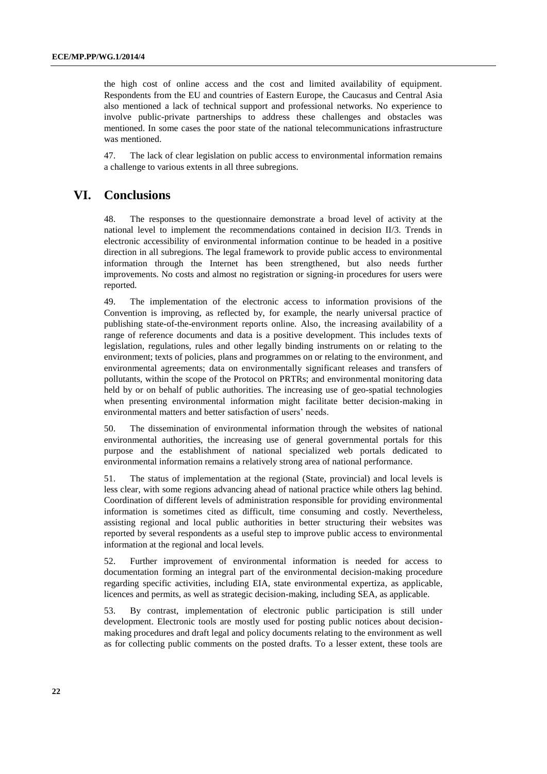the high cost of online access and the cost and limited availability of equipment. Respondents from the EU and countries of Eastern Europe, the Caucasus and Central Asia also mentioned a lack of technical support and professional networks. No experience to involve public-private partnerships to address these challenges and obstacles was mentioned. In some cases the poor state of the national telecommunications infrastructure was mentioned.

47. The lack of clear legislation on public access to environmental information remains a challenge to various extents in all three subregions.

# **VI. Conclusions**

48. The responses to the questionnaire demonstrate a broad level of activity at the national level to implement the recommendations contained in decision II/3. Trends in electronic accessibility of environmental information continue to be headed in a positive direction in all subregions. The legal framework to provide public access to environmental information through the Internet has been strengthened, but also needs further improvements. No costs and almost no registration or signing-in procedures for users were reported.

49. The implementation of the electronic access to information provisions of the Convention is improving, as reflected by, for example, the nearly universal practice of publishing state-of-the-environment reports online. Also, the increasing availability of a range of reference documents and data is a positive development. This includes texts of legislation, regulations, rules and other legally binding instruments on or relating to the environment; texts of policies, plans and programmes on or relating to the environment, and environmental agreements; data on environmentally significant releases and transfers of pollutants, within the scope of the Protocol on PRTRs; and environmental monitoring data held by or on behalf of public authorities. The increasing use of geo-spatial technologies when presenting environmental information might facilitate better decision-making in environmental matters and better satisfaction of users' needs.

50. The dissemination of environmental information through the websites of national environmental authorities, the increasing use of general governmental portals for this purpose and the establishment of national specialized web portals dedicated to environmental information remains a relatively strong area of national performance.

51. The status of implementation at the regional (State, provincial) and local levels is less clear, with some regions advancing ahead of national practice while others lag behind. Coordination of different levels of administration responsible for providing environmental information is sometimes cited as difficult, time consuming and costly. Nevertheless, assisting regional and local public authorities in better structuring their websites was reported by several respondents as a useful step to improve public access to environmental information at the regional and local levels.

52. Further improvement of environmental information is needed for access to documentation forming an integral part of the environmental decision-making procedure regarding specific activities, including EIA, state environmental expertiza, as applicable, licences and permits, as well as strategic decision-making, including SEA, as applicable.

53. By contrast, implementation of electronic public participation is still under development. Electronic tools are mostly used for posting public notices about decisionmaking procedures and draft legal and policy documents relating to the environment as well as for collecting public comments on the posted drafts. To a lesser extent, these tools are